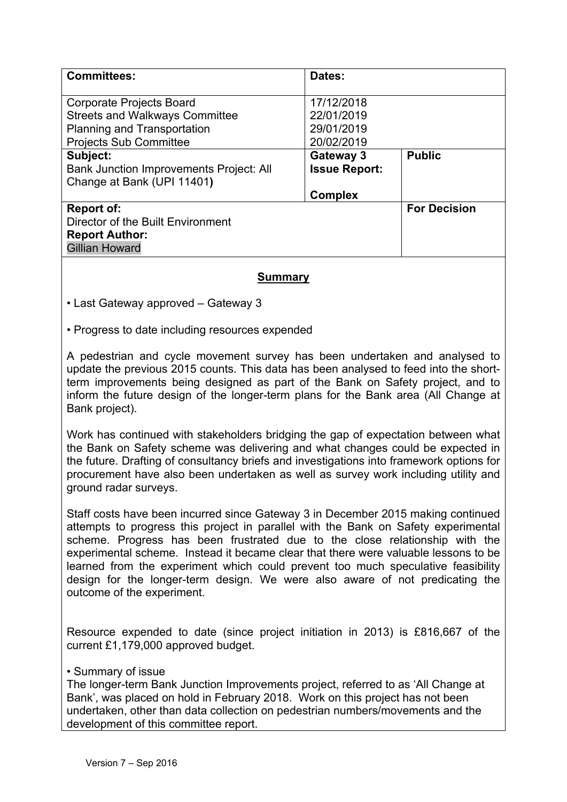| <b>Committees:</b>                                                                                                        | Dates:                                                            |                     |
|---------------------------------------------------------------------------------------------------------------------------|-------------------------------------------------------------------|---------------------|
| <b>Corporate Projects Board</b><br><b>Streets and Walkways Committee</b><br>Planning and Transportation                   | 17/12/2018<br>22/01/2019<br>29/01/2019                            |                     |
| <b>Projects Sub Committee</b><br>Subject:<br><b>Bank Junction Improvements Project: All</b><br>Change at Bank (UPI 11401) | 20/02/2019<br>Gateway 3<br><b>Issue Report:</b><br><b>Complex</b> | <b>Public</b>       |
| Report of:<br>Director of the Built Environment<br><b>Report Author:</b><br><b>Gillian Howard</b>                         |                                                                   | <b>For Decision</b> |

#### **Summary**

• Last Gateway approved – Gateway 3

• Progress to date including resources expended

A pedestrian and cycle movement survey has been undertaken and analysed to update the previous 2015 counts. This data has been analysed to feed into the shortterm improvements being designed as part of the Bank on Safety project, and to inform the future design of the longer-term plans for the Bank area (All Change at Bank project).

Work has continued with stakeholders bridging the gap of expectation between what the Bank on Safety scheme was delivering and what changes could be expected in the future. Drafting of consultancy briefs and investigations into framework options for procurement have also been undertaken as well as survey work including utility and ground radar surveys.

Staff costs have been incurred since Gateway 3 in December 2015 making continued attempts to progress this project in parallel with the Bank on Safety experimental scheme. Progress has been frustrated due to the close relationship with the experimental scheme. Instead it became clear that there were valuable lessons to be learned from the experiment which could prevent too much speculative feasibility design for the longer-term design. We were also aware of not predicating the outcome of the experiment.

Resource expended to date (since project initiation in 2013) is £816,667 of the current £1,179,000 approved budget.

#### • Summary of issue

The longer-term Bank Junction Improvements project, referred to as 'All Change at Bank', was placed on hold in February 2018. Work on this project has not been undertaken, other than data collection on pedestrian numbers/movements and the development of this committee report.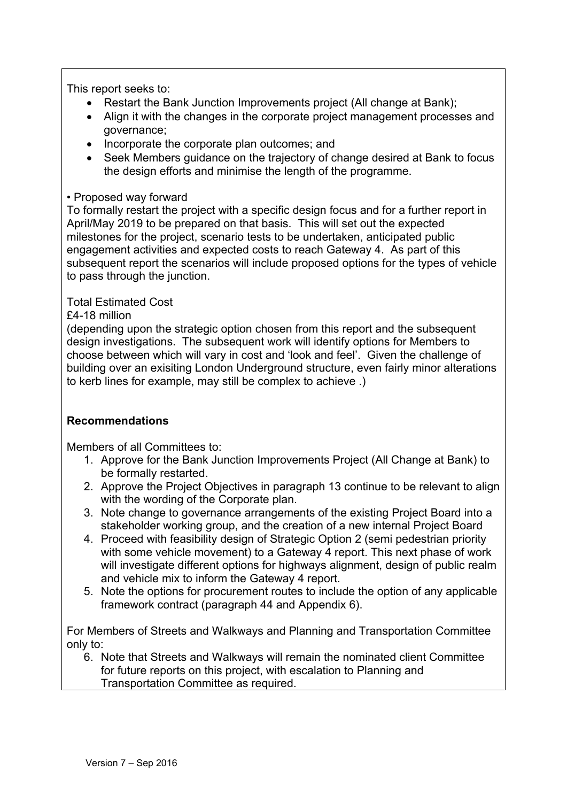This report seeks to:

- Restart the Bank Junction Improvements project (All change at Bank);
- Align it with the changes in the corporate project management processes and governance;
- Incorporate the corporate plan outcomes; and
- Seek Members guidance on the trajectory of change desired at Bank to focus the design efforts and minimise the length of the programme.

#### • Proposed way forward

To formally restart the project with a specific design focus and for a further report in April/May 2019 to be prepared on that basis. This will set out the expected milestones for the project, scenario tests to be undertaken, anticipated public engagement activities and expected costs to reach Gateway 4. As part of this subsequent report the scenarios will include proposed options for the types of vehicle to pass through the junction.

### Total Estimated Cost

£4-18 million

(depending upon the strategic option chosen from this report and the subsequent design investigations. The subsequent work will identify options for Members to choose between which will vary in cost and 'look and feel'. Given the challenge of building over an exisiting London Underground structure, even fairly minor alterations to kerb lines for example, may still be complex to achieve .)

### **Recommendations**

Members of all Committees to:

- 1. Approve for the Bank Junction Improvements Project (All Change at Bank) to be formally restarted.
- 2. Approve the Project Objectives in paragraph 13 continue to be relevant to align with the wording of the Corporate plan.
- 3. Note change to governance arrangements of the existing Project Board into a stakeholder working group, and the creation of a new internal Project Board
- 4. Proceed with feasibility design of Strategic Option 2 (semi pedestrian priority with some vehicle movement) to a Gateway 4 report. This next phase of work will investigate different options for highways alignment, design of public realm and vehicle mix to inform the Gateway 4 report.
- 5. Note the options for procurement routes to include the option of any applicable framework contract (paragraph 44 and Appendix 6).

For Members of Streets and Walkways and Planning and Transportation Committee only to:

6. Note that Streets and Walkways will remain the nominated client Committee for future reports on this project, with escalation to Planning and Transportation Committee as required.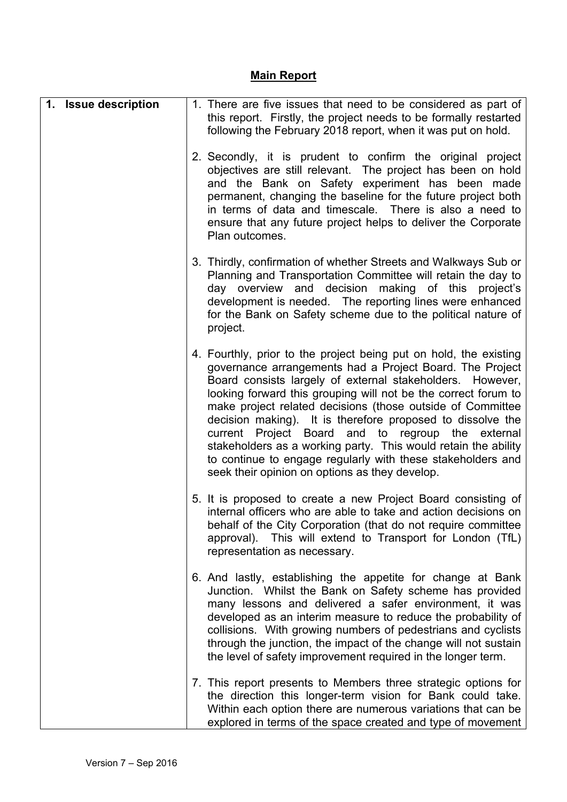# **Main Report**

| 1. Issue description | 1. There are five issues that need to be considered as part of<br>this report. Firstly, the project needs to be formally restarted<br>following the February 2018 report, when it was put on hold.                                                                                                                                                                                                                                                                                                                                                                                                                               |
|----------------------|----------------------------------------------------------------------------------------------------------------------------------------------------------------------------------------------------------------------------------------------------------------------------------------------------------------------------------------------------------------------------------------------------------------------------------------------------------------------------------------------------------------------------------------------------------------------------------------------------------------------------------|
|                      | 2. Secondly, it is prudent to confirm the original project<br>objectives are still relevant. The project has been on hold<br>and the Bank on Safety experiment has been made<br>permanent, changing the baseline for the future project both<br>in terms of data and timescale. There is also a need to<br>ensure that any future project helps to deliver the Corporate<br>Plan outcomes.                                                                                                                                                                                                                                       |
|                      | 3. Thirdly, confirmation of whether Streets and Walkways Sub or<br>Planning and Transportation Committee will retain the day to<br>day overview and decision making of this project's<br>development is needed. The reporting lines were enhanced<br>for the Bank on Safety scheme due to the political nature of<br>project.                                                                                                                                                                                                                                                                                                    |
|                      | 4. Fourthly, prior to the project being put on hold, the existing<br>governance arrangements had a Project Board. The Project<br>Board consists largely of external stakeholders. However,<br>looking forward this grouping will not be the correct forum to<br>make project related decisions (those outside of Committee<br>decision making). It is therefore proposed to dissolve the<br>current Project Board and to regroup the external<br>stakeholders as a working party. This would retain the ability<br>to continue to engage regularly with these stakeholders and<br>seek their opinion on options as they develop. |
|                      | 5. It is proposed to create a new Project Board consisting of<br>internal officers who are able to take and action decisions on<br>behalf of the City Corporation (that do not require committee<br>approval). This will extend to Transport for London (TfL)<br>representation as necessary.                                                                                                                                                                                                                                                                                                                                    |
|                      | 6. And lastly, establishing the appetite for change at Bank<br>Junction. Whilst the Bank on Safety scheme has provided<br>many lessons and delivered a safer environment, it was<br>developed as an interim measure to reduce the probability of<br>collisions. With growing numbers of pedestrians and cyclists<br>through the junction, the impact of the change will not sustain<br>the level of safety improvement required in the longer term.                                                                                                                                                                              |
|                      | 7. This report presents to Members three strategic options for<br>the direction this longer-term vision for Bank could take.<br>Within each option there are numerous variations that can be<br>explored in terms of the space created and type of movement                                                                                                                                                                                                                                                                                                                                                                      |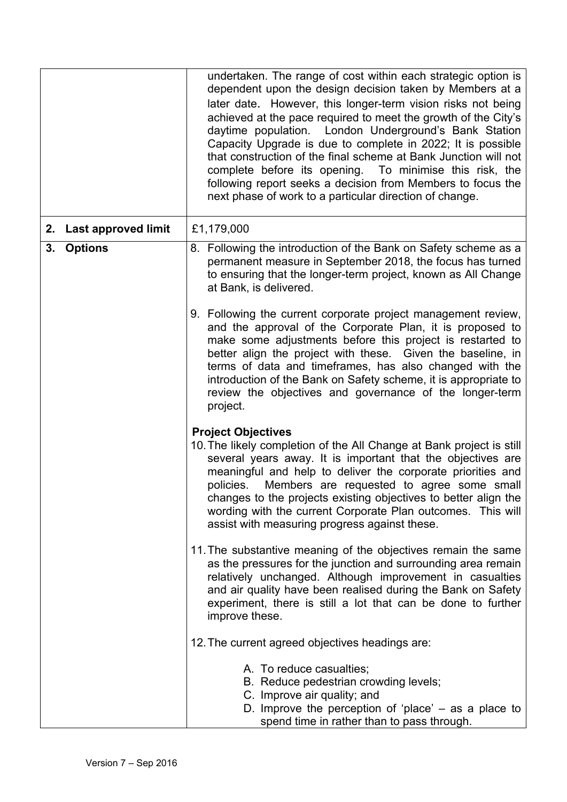|                        | undertaken. The range of cost within each strategic option is<br>dependent upon the design decision taken by Members at a<br>later date. However, this longer-term vision risks not being<br>achieved at the pace required to meet the growth of the City's<br>daytime population. London Underground's Bank Station<br>Capacity Upgrade is due to complete in 2022; It is possible<br>that construction of the final scheme at Bank Junction will not<br>complete before its opening. To minimise this risk, the<br>following report seeks a decision from Members to focus the<br>next phase of work to a particular direction of change. |
|------------------------|---------------------------------------------------------------------------------------------------------------------------------------------------------------------------------------------------------------------------------------------------------------------------------------------------------------------------------------------------------------------------------------------------------------------------------------------------------------------------------------------------------------------------------------------------------------------------------------------------------------------------------------------|
| 2. Last approved limit | £1,179,000                                                                                                                                                                                                                                                                                                                                                                                                                                                                                                                                                                                                                                  |
| 3. Options             | 8. Following the introduction of the Bank on Safety scheme as a<br>permanent measure in September 2018, the focus has turned<br>to ensuring that the longer-term project, known as All Change<br>at Bank, is delivered.                                                                                                                                                                                                                                                                                                                                                                                                                     |
|                        | 9. Following the current corporate project management review,<br>and the approval of the Corporate Plan, it is proposed to<br>make some adjustments before this project is restarted to<br>better align the project with these. Given the baseline, in<br>terms of data and timeframes, has also changed with the<br>introduction of the Bank on Safety scheme, it is appropriate to<br>review the objectives and governance of the longer-term<br>project.                                                                                                                                                                                 |
|                        | <b>Project Objectives</b><br>10. The likely completion of the All Change at Bank project is still<br>several years away. It is important that the objectives are<br>meaningful and help to deliver the corporate priorities and<br>policies. Members are requested to agree some small<br>changes to the projects existing objectives to better align the<br>wording with the current Corporate Plan outcomes. This will<br>assist with measuring progress against these.                                                                                                                                                                   |
|                        | 11. The substantive meaning of the objectives remain the same<br>as the pressures for the junction and surrounding area remain<br>relatively unchanged. Although improvement in casualties<br>and air quality have been realised during the Bank on Safety<br>experiment, there is still a lot that can be done to further<br>improve these.                                                                                                                                                                                                                                                                                                |
|                        | 12. The current agreed objectives headings are:                                                                                                                                                                                                                                                                                                                                                                                                                                                                                                                                                                                             |
|                        | A. To reduce casualties;<br>B. Reduce pedestrian crowding levels;<br>C. Improve air quality; and<br>D. Improve the perception of 'place' $-$ as a place to<br>spend time in rather than to pass through.                                                                                                                                                                                                                                                                                                                                                                                                                                    |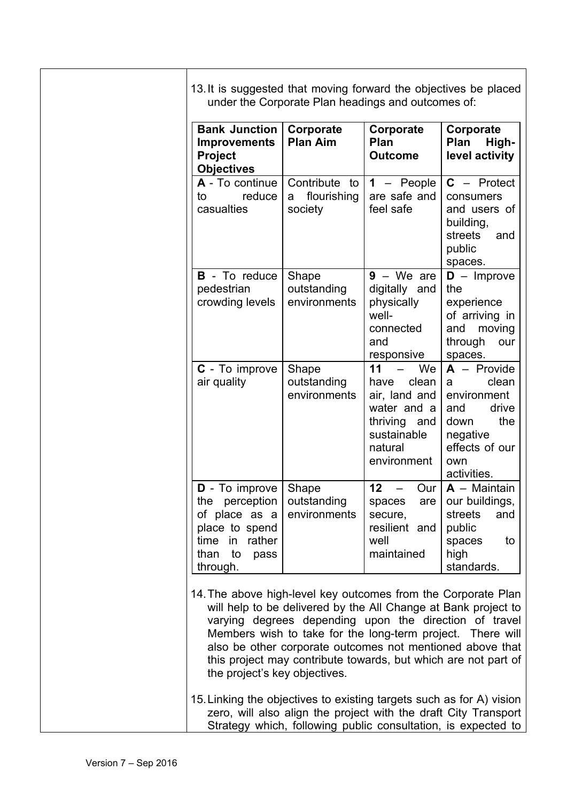| 13. It is suggested that moving forward the objectives be placed |  |  |  |  |
|------------------------------------------------------------------|--|--|--|--|
| under the Corporate Plan headings and outcomes of:               |  |  |  |  |

| <b>Bank Junction</b><br><b>Improvements</b><br>Project<br><b>Objectives</b>                                                      | Corporate<br><b>Plan Aim</b>                 | Corporate<br>Plan<br><b>Outcome</b>                                                                                | Corporate<br><b>Plan</b><br>High-<br>level activity                                                                           |
|----------------------------------------------------------------------------------------------------------------------------------|----------------------------------------------|--------------------------------------------------------------------------------------------------------------------|-------------------------------------------------------------------------------------------------------------------------------|
| A - To continue<br>reduce<br>to<br>casualties                                                                                    | Contribute to<br>flourishing<br>a<br>society | $1 - People$<br>are safe and<br>feel safe                                                                          | $C -$ Protect<br>consumers<br>and users of<br>building,<br>streets<br>and<br>public<br>spaces.                                |
| <b>B</b> - To reduce<br>pedestrian<br>crowding levels                                                                            | Shape<br>outstanding<br>environments         | $9 - We are$<br>digitally and<br>physically<br>well-<br>connected<br>and<br>responsive                             | $D -$ Improve<br>the<br>experience<br>of arriving in<br>moving<br>and<br>through<br>our<br>spaces.                            |
| C - To improve<br>air quality                                                                                                    | Shape<br>outstanding<br>environments         | We<br>11<br>clean<br>have<br>air, land and<br>water and a<br>thriving and<br>sustainable<br>natural<br>environment | $A -$ Provide<br>clean<br>a<br>environment<br>drive<br>and<br>the<br>down<br>negative<br>effects of our<br>own<br>activities. |
| D - To improve<br>perception<br>the<br>of place as a<br>place to spend<br>in<br>rather<br>time<br>than<br>to<br>pass<br>through. | Shape<br>outstanding<br>environments         | 12<br>Our<br>$\equiv$<br>spaces<br>are<br>secure,<br>resilient and<br>well<br>maintained                           | $\overline{A}$ – Maintain<br>our buildings,<br>streets<br>and<br>public<br>spaces<br>to<br>high<br>standards.                 |

14.The above high-level key outcomes from the Corporate Plan will help to be delivered by the All Change at Bank project to varying degrees depending upon the direction of travel Members wish to take for the long-term project. There will also be other corporate outcomes not mentioned above that this project may contribute towards, but which are not part of the project's key objectives.

15.Linking the objectives to existing targets such as for A) vision zero, will also align the project with the draft City Transport Strategy which, following public consultation, is expected to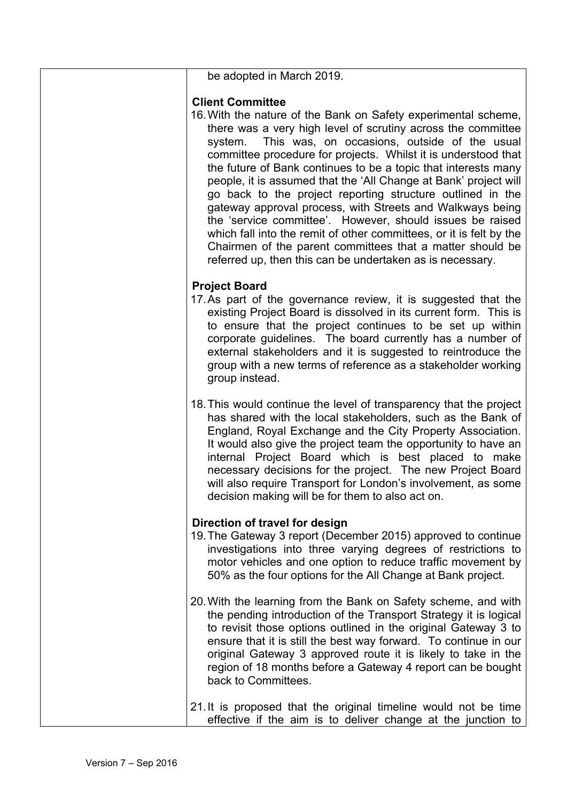| be adopted in March 2019.                                                                                                                                                                                                                                                                                                                                                                                                                                                                                                                                                                                                                                                                                                                                                                                             |
|-----------------------------------------------------------------------------------------------------------------------------------------------------------------------------------------------------------------------------------------------------------------------------------------------------------------------------------------------------------------------------------------------------------------------------------------------------------------------------------------------------------------------------------------------------------------------------------------------------------------------------------------------------------------------------------------------------------------------------------------------------------------------------------------------------------------------|
| <b>Client Committee</b><br>16. With the nature of the Bank on Safety experimental scheme,<br>there was a very high level of scrutiny across the committee<br>This was, on occasions, outside of the usual<br>system.<br>committee procedure for projects. Whilst it is understood that<br>the future of Bank continues to be a topic that interests many<br>people, it is assumed that the 'All Change at Bank' project will<br>go back to the project reporting structure outlined in the<br>gateway approval process, with Streets and Walkways being<br>the 'service committee'. However, should issues be raised<br>which fall into the remit of other committees, or it is felt by the<br>Chairmen of the parent committees that a matter should be<br>referred up, then this can be undertaken as is necessary. |
| <b>Project Board</b><br>17. As part of the governance review, it is suggested that the<br>existing Project Board is dissolved in its current form. This is<br>to ensure that the project continues to be set up within<br>corporate guidelines. The board currently has a number of<br>external stakeholders and it is suggested to reintroduce the<br>group with a new terms of reference as a stakeholder working<br>group instead.                                                                                                                                                                                                                                                                                                                                                                                 |
| 18. This would continue the level of transparency that the project<br>has shared with the local stakeholders, such as the Bank of<br>England, Royal Exchange and the City Property Association.<br>It would also give the project team the opportunity to have an<br>internal Project Board which is best placed to make<br>necessary decisions for the project. The new Project Board<br>will also require Transport for London's involvement, as some<br>decision making will be for them to also act on.                                                                                                                                                                                                                                                                                                           |
| Direction of travel for design<br>19. The Gateway 3 report (December 2015) approved to continue<br>investigations into three varying degrees of restrictions to<br>motor vehicles and one option to reduce traffic movement by<br>50% as the four options for the All Change at Bank project.                                                                                                                                                                                                                                                                                                                                                                                                                                                                                                                         |
| 20. With the learning from the Bank on Safety scheme, and with<br>the pending introduction of the Transport Strategy it is logical<br>to revisit those options outlined in the original Gateway 3 to<br>ensure that it is still the best way forward. To continue in our<br>original Gateway 3 approved route it is likely to take in the<br>region of 18 months before a Gateway 4 report can be bought<br>back to Committees.                                                                                                                                                                                                                                                                                                                                                                                       |
| 21. It is proposed that the original timeline would not be time<br>effective if the aim is to deliver change at the junction to                                                                                                                                                                                                                                                                                                                                                                                                                                                                                                                                                                                                                                                                                       |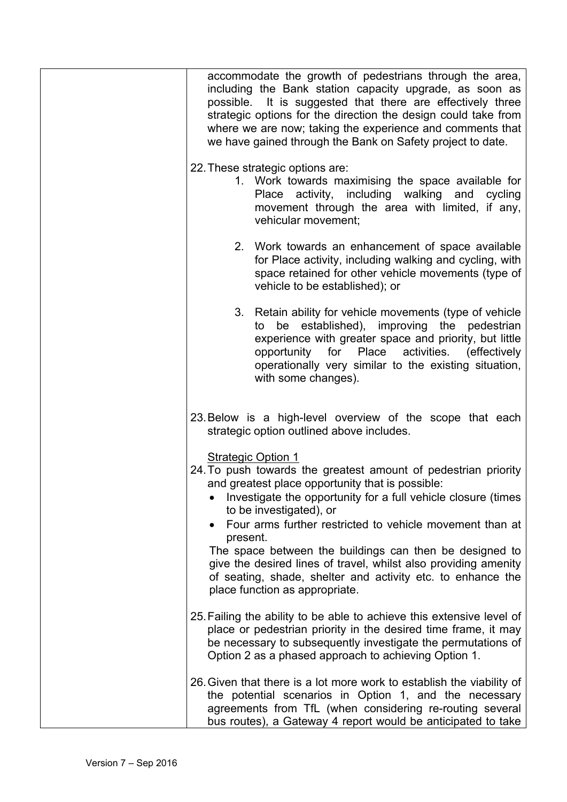| accommodate the growth of pedestrians through the area,<br>including the Bank station capacity upgrade, as soon as<br>possible. It is suggested that there are effectively three<br>strategic options for the direction the design could take from<br>where we are now; taking the experience and comments that<br>we have gained through the Bank on Safety project to date.                                                                                                                                                                      |
|----------------------------------------------------------------------------------------------------------------------------------------------------------------------------------------------------------------------------------------------------------------------------------------------------------------------------------------------------------------------------------------------------------------------------------------------------------------------------------------------------------------------------------------------------|
| 22. These strategic options are:<br>1. Work towards maximising the space available for<br>Place activity, including walking and<br>cycling<br>movement through the area with limited, if any,<br>vehicular movement;                                                                                                                                                                                                                                                                                                                               |
| 2. Work towards an enhancement of space available<br>for Place activity, including walking and cycling, with<br>space retained for other vehicle movements (type of<br>vehicle to be established); or                                                                                                                                                                                                                                                                                                                                              |
| 3. Retain ability for vehicle movements (type of vehicle<br>be established), improving the pedestrian<br>to<br>experience with greater space and priority, but little<br>activities.<br>for<br>Place<br>(effectively)<br>opportunity<br>operationally very similar to the existing situation,<br>with some changes).                                                                                                                                                                                                                               |
| 23. Below is a high-level overview of the scope that each<br>strategic option outlined above includes.                                                                                                                                                                                                                                                                                                                                                                                                                                             |
| <b>Strategic Option 1</b><br>24. To push towards the greatest amount of pedestrian priority<br>and greatest place opportunity that is possible:<br>Investigate the opportunity for a full vehicle closure (times<br>to be investigated), or<br>Four arms further restricted to vehicle movement than at<br>present.<br>The space between the buildings can then be designed to<br>give the desired lines of travel, whilst also providing amenity<br>of seating, shade, shelter and activity etc. to enhance the<br>place function as appropriate. |
| 25. Failing the ability to be able to achieve this extensive level of<br>place or pedestrian priority in the desired time frame, it may<br>be necessary to subsequently investigate the permutations of<br>Option 2 as a phased approach to achieving Option 1.                                                                                                                                                                                                                                                                                    |
| 26. Given that there is a lot more work to establish the viability of<br>the potential scenarios in Option 1, and the necessary<br>agreements from TfL (when considering re-routing several<br>bus routes), a Gateway 4 report would be anticipated to take                                                                                                                                                                                                                                                                                        |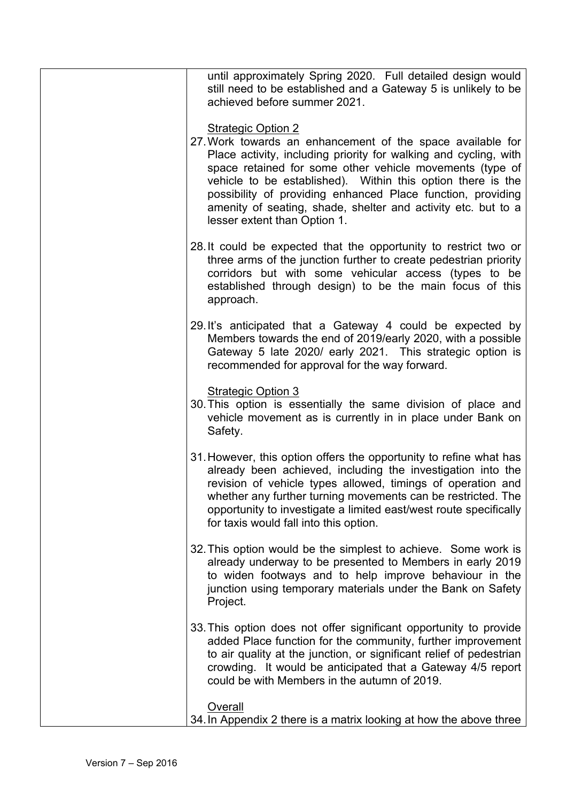| until approximately Spring 2020. Full detailed design would<br>still need to be established and a Gateway 5 is unlikely to be<br>achieved before summer 2021.                                                                                                                                                                                                                                                                                          |
|--------------------------------------------------------------------------------------------------------------------------------------------------------------------------------------------------------------------------------------------------------------------------------------------------------------------------------------------------------------------------------------------------------------------------------------------------------|
| <b>Strategic Option 2</b><br>27. Work towards an enhancement of the space available for<br>Place activity, including priority for walking and cycling, with<br>space retained for some other vehicle movements (type of<br>vehicle to be established). Within this option there is the<br>possibility of providing enhanced Place function, providing<br>amenity of seating, shade, shelter and activity etc. but to a<br>lesser extent than Option 1. |
| 28. It could be expected that the opportunity to restrict two or<br>three arms of the junction further to create pedestrian priority<br>corridors but with some vehicular access (types to be<br>established through design) to be the main focus of this<br>approach.                                                                                                                                                                                 |
| 29. It's anticipated that a Gateway 4 could be expected by<br>Members towards the end of 2019/early 2020, with a possible<br>Gateway 5 late 2020/ early 2021. This strategic option is<br>recommended for approval for the way forward.                                                                                                                                                                                                                |
| <b>Strategic Option 3</b><br>30. This option is essentially the same division of place and<br>vehicle movement as is currently in in place under Bank on<br>Safety.                                                                                                                                                                                                                                                                                    |
| 31. However, this option offers the opportunity to refine what has<br>already been achieved, including the investigation into the<br>revision of vehicle types allowed, timings of operation and<br>whether any further turning movements can be restricted. The<br>opportunity to investigate a limited east/west route specifically<br>for taxis would fall into this option.                                                                        |
| 32. This option would be the simplest to achieve. Some work is<br>already underway to be presented to Members in early 2019<br>to widen footways and to help improve behaviour in the<br>junction using temporary materials under the Bank on Safety<br>Project.                                                                                                                                                                                       |
| 33. This option does not offer significant opportunity to provide<br>added Place function for the community, further improvement<br>to air quality at the junction, or significant relief of pedestrian<br>crowding. It would be anticipated that a Gateway 4/5 report<br>could be with Members in the autumn of 2019.                                                                                                                                 |
| Overall<br>34. In Appendix 2 there is a matrix looking at how the above three                                                                                                                                                                                                                                                                                                                                                                          |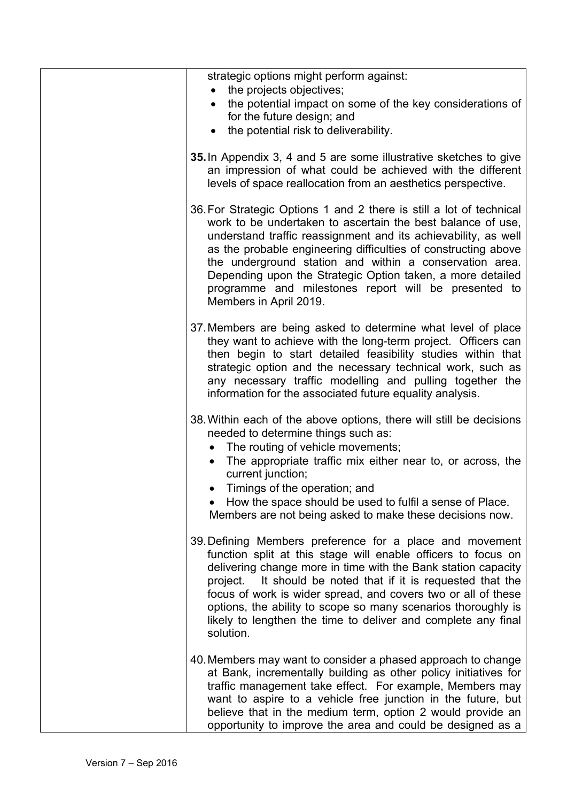| strategic options might perform against:<br>the projects objectives,<br>$\bullet$                                                                                                                                                                                                                                                                                                                                                                                                 |
|-----------------------------------------------------------------------------------------------------------------------------------------------------------------------------------------------------------------------------------------------------------------------------------------------------------------------------------------------------------------------------------------------------------------------------------------------------------------------------------|
| the potential impact on some of the key considerations of<br>$\bullet$<br>for the future design; and<br>the potential risk to deliverability.                                                                                                                                                                                                                                                                                                                                     |
|                                                                                                                                                                                                                                                                                                                                                                                                                                                                                   |
| 35. In Appendix 3, 4 and 5 are some illustrative sketches to give<br>an impression of what could be achieved with the different<br>levels of space reallocation from an aesthetics perspective.                                                                                                                                                                                                                                                                                   |
| 36. For Strategic Options 1 and 2 there is still a lot of technical<br>work to be undertaken to ascertain the best balance of use,<br>understand traffic reassignment and its achievability, as well<br>as the probable engineering difficulties of constructing above<br>the underground station and within a conservation area.<br>Depending upon the Strategic Option taken, a more detailed<br>programme and milestones report will be presented to<br>Members in April 2019. |
| 37. Members are being asked to determine what level of place<br>they want to achieve with the long-term project. Officers can<br>then begin to start detailed feasibility studies within that<br>strategic option and the necessary technical work, such as<br>any necessary traffic modelling and pulling together the<br>information for the associated future equality analysis.                                                                                               |
| 38. Within each of the above options, there will still be decisions<br>needed to determine things such as:<br>• The routing of vehicle movements;<br>The appropriate traffic mix either near to, or across, the<br>current junction;<br>Timings of the operation; and<br>How the space should be used to fulfil a sense of Place.<br>Members are not being asked to make these decisions now.                                                                                     |
| 39. Defining Members preference for a place and movement<br>function split at this stage will enable officers to focus on<br>delivering change more in time with the Bank station capacity<br>It should be noted that if it is requested that the<br>project.<br>focus of work is wider spread, and covers two or all of these<br>options, the ability to scope so many scenarios thoroughly is<br>likely to lengthen the time to deliver and complete any final<br>solution.     |
| 40. Members may want to consider a phased approach to change<br>at Bank, incrementally building as other policy initiatives for<br>traffic management take effect. For example, Members may<br>want to aspire to a vehicle free junction in the future, but<br>believe that in the medium term, option 2 would provide an<br>opportunity to improve the area and could be designed as a                                                                                           |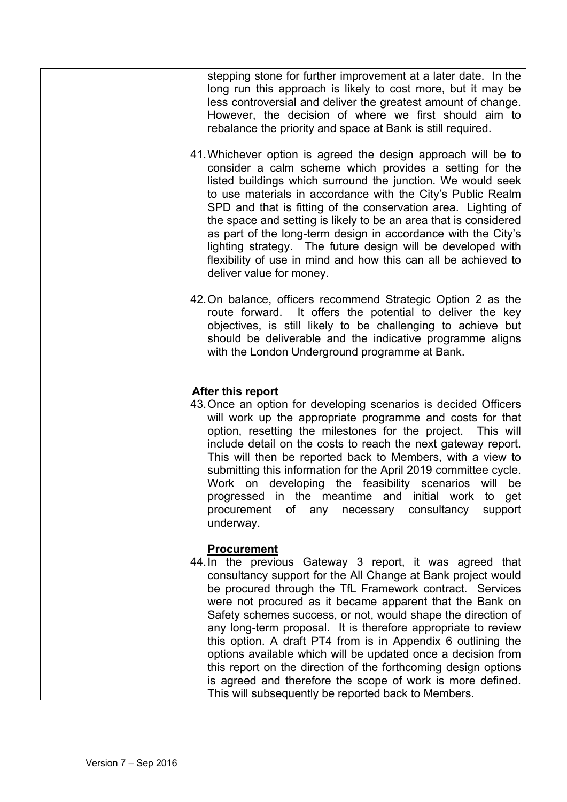| stepping stone for further improvement at a later date. In the<br>long run this approach is likely to cost more, but it may be<br>less controversial and deliver the greatest amount of change.<br>However, the decision of where we first should aim to<br>rebalance the priority and space at Bank is still required.<br>41. Whichever option is agreed the design approach will be to<br>consider a calm scheme which provides a setting for the<br>listed buildings which surround the junction. We would seek<br>to use materials in accordance with the City's Public Realm<br>SPD and that is fitting of the conservation area. Lighting of<br>the space and setting is likely to be an area that is considered<br>as part of the long-term design in accordance with the City's<br>lighting strategy. The future design will be developed with<br>flexibility of use in mind and how this can all be achieved to<br>deliver value for money. |
|------------------------------------------------------------------------------------------------------------------------------------------------------------------------------------------------------------------------------------------------------------------------------------------------------------------------------------------------------------------------------------------------------------------------------------------------------------------------------------------------------------------------------------------------------------------------------------------------------------------------------------------------------------------------------------------------------------------------------------------------------------------------------------------------------------------------------------------------------------------------------------------------------------------------------------------------------|
| 42. On balance, officers recommend Strategic Option 2 as the<br>route forward. It offers the potential to deliver the key<br>objectives, is still likely to be challenging to achieve but<br>should be deliverable and the indicative programme aligns<br>with the London Underground programme at Bank.                                                                                                                                                                                                                                                                                                                                                                                                                                                                                                                                                                                                                                             |
| After this report<br>43. Once an option for developing scenarios is decided Officers<br>will work up the appropriate programme and costs for that<br>option, resetting the milestones for the project. This will<br>include detail on the costs to reach the next gateway report.<br>This will then be reported back to Members, with a view to<br>submitting this information for the April 2019 committee cycle.<br>Work on developing the feasibility scenarios will be<br>progressed in the meantime and initial work to get<br>consultancy<br>procurement of any necessary<br>support<br>underway.                                                                                                                                                                                                                                                                                                                                              |
| <b>Procurement</b><br>44. In the previous Gateway 3 report, it was agreed that<br>consultancy support for the All Change at Bank project would<br>be procured through the TfL Framework contract. Services<br>were not procured as it became apparent that the Bank on<br>Safety schemes success, or not, would shape the direction of<br>any long-term proposal. It is therefore appropriate to review<br>this option. A draft PT4 from is in Appendix 6 outlining the<br>options available which will be updated once a decision from<br>this report on the direction of the forthcoming design options<br>is agreed and therefore the scope of work is more defined.<br>This will subsequently be reported back to Members.                                                                                                                                                                                                                       |